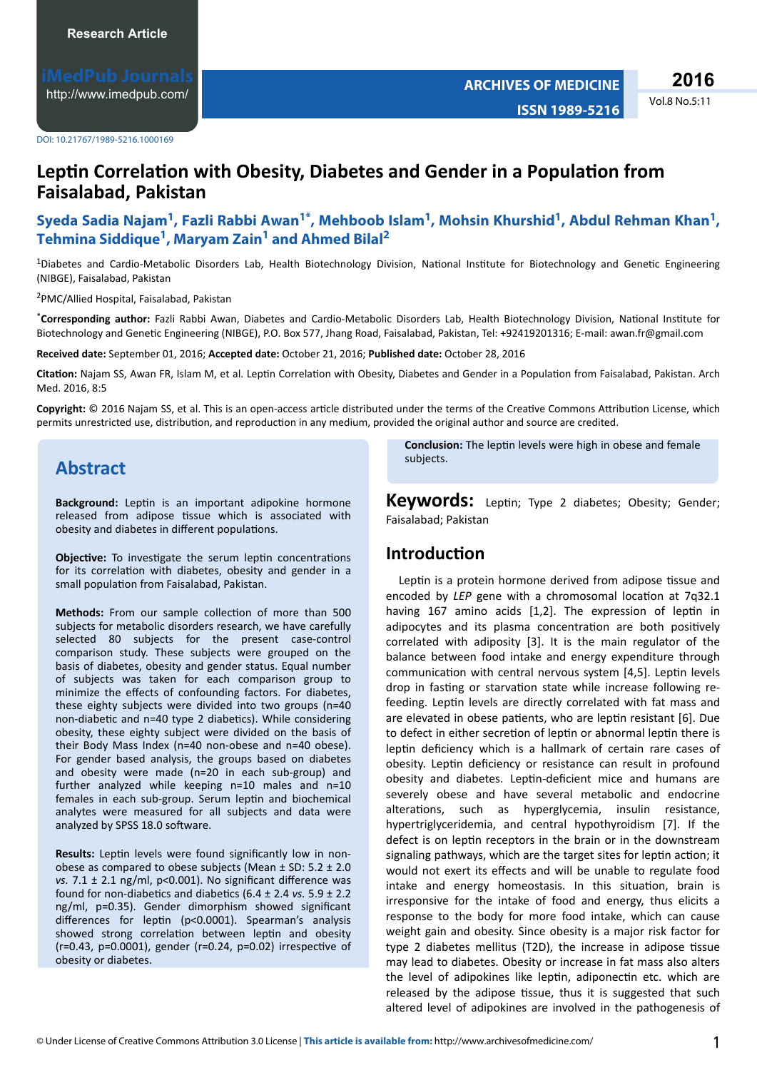Vol.8 No.5:11 **2016**

**ISSN 1989-5216**

## **Leptin Correlation with Obesity, Diabetes and Gender in a Population from Faisalabad, Pakistan**

### **Syeda Sadia Najam<sup>1</sup> , Fazli Rabbi Awan1\* , Mehboob Islam<sup>1</sup> , Mohsin Khurshid<sup>1</sup> , Abdul Rehman Khan<sup>1</sup> , Tehmina Siddique<sup>1</sup> , Maryam Zain<sup>1</sup> and Ahmed Bilal<sup>2</sup>**

 $1$ Diabetes and Cardio-Metabolic Disorders Lab, Health Biotechnology Division, National Institute for Biotechnology and Genetic Engineering (NIBGE), Faisalabad, Pakistan

<sup>2</sup>PMC/Allied Hospital, Faisalabad, Pakistan

\*Corresponding author: Fazli Rabbi Awan, Diabetes and Cardio-Metabolic Disorders Lab, Health Biotechnology Division, National Institute for Biotechnology and Genetic Engineering (NIBGE), P.O. Box 577, Jhang Road, Faisalabad, Pakistan, Tel: +92419201316; E-mail: awan.fr@gmail.com

**Received date:** September 01, 2016; **Accepted date:** October 21, 2016; **Published date:** October 28, 2016

Citation: Najam SS, Awan FR, Islam M, et al. Leptin Correlation with Obesity, Diabetes and Gender in a Population from Faisalabad, Pakistan. Arch Med. 2016, 8:5

Copyright: © 2016 Najam SS, et al. This is an open-access article distributed under the terms of the Creative Commons Attribution License, which permits unrestricted use, distribution, and reproduction in any medium, provided the original author and source are credited.

# **Abstract**

**Background:** Leptin is an important adipokine hormone released from adipose tissue which is associated with obesity and diabetes in different populations.

**Objective:** To investigate the serum leptin concentrations for its correlation with diabetes, obesity and gender in a small population from Faisalabad, Pakistan.

Methods: From our sample collection of more than 500 subjects for metabolic disorders research, we have carefully selected 80 subjects for the present case-control comparison study. These subjects were grouped on the basis of diabetes, obesity and gender status. Equal number of subjects was taken for each comparison group to minimize the effects of confounding factors. For diabetes, these eighty subjects were divided into two groups (n=40 non-diabetic and n=40 type 2 diabetics). While considering obesity, these eighty subject were divided on the basis of their Body Mass Index (n=40 non-obese and n=40 obese). For gender based analysis, the groups based on diabetes and obesity were made (n=20 in each sub-group) and further analyzed while keeping n=10 males and n=10 females in each sub-group. Serum leptin and biochemical analytes were measured for all subjects and data were analyzed by SPSS 18.0 software.

Results: Leptin levels were found significantly low in nonobese as compared to obese subjects (Mean ± SD: 5.2 ± 2.0 *vs.* 7.1 ± 2.1 ng/ml, p<0.001). No significant difference was found for non-diabetics and diabetics (6.4  $\pm$  2.4 *vs.* 5.9  $\pm$  2.2 ng/ml, p=0.35). Gender dimorphism showed significant differences for leptin (p<0.0001). Spearman's analysis showed strong correlation between leptin and obesity ( $r=0.43$ ,  $p=0.0001$ ), gender ( $r=0.24$ ,  $p=0.02$ ) irrespective of obesity or diabetes.

**Conclusion:** The leptin levels were high in obese and female subjects.

**Keywords:** Leptin; Type 2 diabetes; Obesity; Gender; Faisalabad; Pakistan

### **Introduction**

Leptin is a protein hormone derived from adipose tissue and encoded by *LEP* gene with a chromosomal location at 7q32.1 having 167 amino acids  $[1,2]$ . The expression of leptin in adipocytes and its plasma concentration are both positively correlated with adiposity [3]. It is the main regulator of the balance between food intake and energy expenditure through communication with central nervous system [4,5]. Leptin levels drop in fasting or starvation state while increase following refeeding. Leptin levels are directly correlated with fat mass and are elevated in obese patients, who are leptin resistant [6]. Due to defect in either secretion of leptin or abnormal leptin there is leptin deficiency which is a hallmark of certain rare cases of obesity. Leptin deficiency or resistance can result in profound obesity and diabetes. Leptin-deficient mice and humans are severely obese and have several metabolic and endocrine alterations, such as hyperglycemia, insulin resistance, hypertriglyceridemia, and central hypothyroidism [7]. If the defect is on leptin receptors in the brain or in the downstream signaling pathways, which are the target sites for leptin action; it would not exert its effects and will be unable to regulate food intake and energy homeostasis. In this situation, brain is irresponsive for the intake of food and energy, thus elicits a response to the body for more food intake, which can cause weight gain and obesity. Since obesity is a major risk factor for type 2 diabetes mellitus (T2D), the increase in adipose tissue may lead to diabetes. Obesity or increase in fat mass also alters the level of adipokines like leptin, adiponectin etc. which are released by the adipose tissue, thus it is suggested that such altered level of adipokines are involved in the pathogenesis of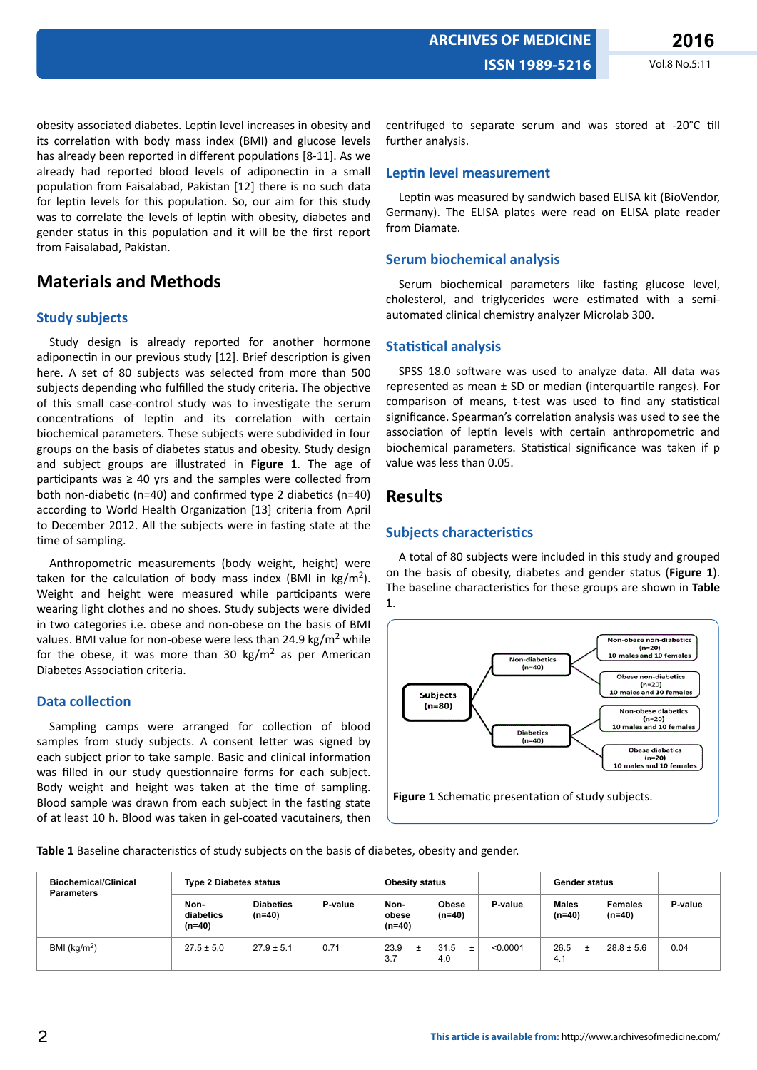obesity associated diabetes. Leptin level increases in obesity and its correlation with body mass index (BMI) and glucose levels has already been reported in different populations [8-11]. As we already had reported blood levels of adiponectin in a small population from Faisalabad, Pakistan [12] there is no such data for leptin levels for this population. So, our aim for this study was to correlate the levels of leptin with obesity, diabetes and gender status in this population and it will be the first report from Faisalabad, Pakistan.

# **Materials and Methods**

### **Study subjects**

Study design is already reported for another hormone adiponectin in our previous study [12]. Brief description is given here. A set of 80 subjects was selected from more than 500 subjects depending who fulfilled the study criteria. The objective of this small case-control study was to investigate the serum concentrations of leptin and its correlation with certain biochemical parameters. These subjects were subdivided in four groups on the basis of diabetes status and obesity. Study design and subject groups are illustrated in **Figure 1**. The age of participants was  $\geq 40$  yrs and the samples were collected from both non-diabetic (n=40) and confirmed type 2 diabetics (n=40) according to World Health Organization [13] criteria from April to December 2012. All the subjects were in fasting state at the time of sampling.

Anthropometric measurements (body weight, height) were taken for the calculation of body mass index (BMI in kg/m<sup>2</sup>). Weight and height were measured while participants were wearing light clothes and no shoes. Study subjects were divided in two categories i.e. obese and non-obese on the basis of BMI values. BMI value for non-obese were less than 24.9 kg/m<sup>2</sup> while for the obese, it was more than 30  $\text{kg/m}^2$  as per American Diabetes Association criteria.

#### **Data collection**

Sampling camps were arranged for collection of blood samples from study subjects. A consent letter was signed by each subject prior to take sample. Basic and clinical information was filled in our study questionnaire forms for each subject. Body weight and height was taken at the time of sampling. Blood sample was drawn from each subject in the fasting state of at least 10 h. Blood was taken in gel-coated vacutainers, then centrifuged to separate serum and was stored at -20°C till further analysis.

#### **Leptin level measurement**

Leptin was measured by sandwich based ELISA kit (BioVendor, Germany). The ELISA plates were read on ELISA plate reader from Diamate.

#### **Serum biochemical analysis**

Serum biochemical parameters like fasting glucose level, cholesterol, and triglycerides were estimated with a semiautomated clinical chemistry analyzer Microlab 300.

#### **Statistical analysis**

SPSS 18.0 software was used to analyze data. All data was represented as mean  $±$  SD or median (interquartile ranges). For comparison of means, t-test was used to find any statistical significance. Spearman's correlation analysis was used to see the association of leptin levels with certain anthropometric and biochemical parameters. Statistical significance was taken if p value was less than 0.05.

### **Results**

#### **Subjects characteristics**

A total of 80 subjects were included in this study and grouped on the basis of obesity, diabetes and gender status (**Figure 1**). The baseline characteristics for these groups are shown in **Table 1**.



Figure 1 Schematic presentation of study subjects.

Table 1 Baseline characteristics of study subjects on the basis of diabetes, obesity and gender.

| <b>Biochemical/Clinical</b><br><b>Parameters</b> | <b>Type 2 Diabetes status</b> |                            |         | <b>Obesity status</b>   |                          |          | <b>Gender status</b>   |                            |         |
|--------------------------------------------------|-------------------------------|----------------------------|---------|-------------------------|--------------------------|----------|------------------------|----------------------------|---------|
|                                                  | Non-<br>diabetics<br>$(n=40)$ | <b>Diabetics</b><br>(n=40) | P-value | Non-<br>obese<br>(n=40) | <b>Obese</b><br>$(n=40)$ | P-value  | <b>Males</b><br>(n=40) | <b>Females</b><br>$(n=40)$ | P-value |
| BMI ( $kg/m2$ )                                  | $27.5 \pm 5.0$                | $27.9 \pm 5.1$             | 0.71    | 23.9<br>3.7             | 31.5<br>4.0              | < 0.0001 | 26.5<br>$\pm$<br>4.1   | $28.8 \pm 5.6$             | 0.04    |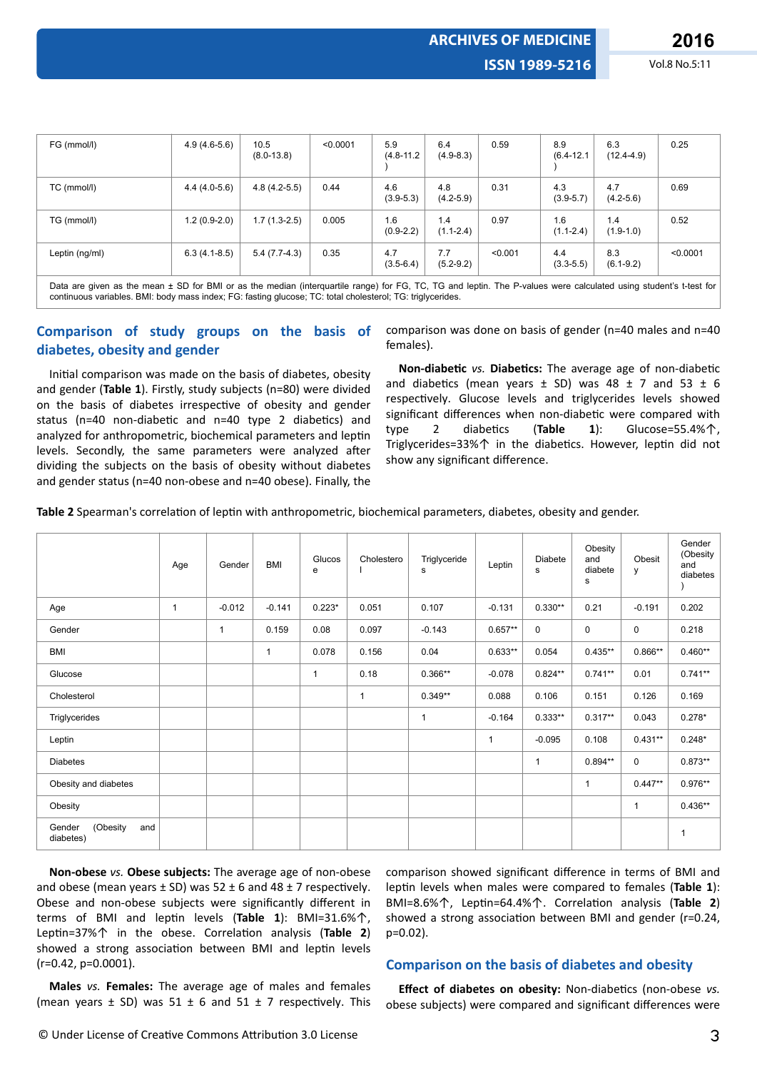**ARCHIVES OF MEDICINE**

| FG (mmol/l)    | $4.9(4.6-5.6)$ | 10.5<br>$(8.0 - 13.8)$ | < 0.0001 | 5.9<br>$(4.8 - 11.2)$ | 6.4<br>$(4.9 - 8.3)$ | 0.59    | 8.9<br>$(6.4 - 12.1)$ | 6.3<br>$(12.4 - 4.9)$ | 0.25     |
|----------------|----------------|------------------------|----------|-----------------------|----------------------|---------|-----------------------|-----------------------|----------|
| TC (mmol/l)    | $4.4(4.0-5.6)$ | $4.8(4.2-5.5)$         | 0.44     | 4.6<br>$(3.9 - 5.3)$  | 4.8<br>$(4.2 - 5.9)$ | 0.31    | 4.3<br>$(3.9 - 5.7)$  | 4.7<br>$(4.2 - 5.6)$  | 0.69     |
| TG (mmol/l)    | $1.2(0.9-2.0)$ | $1.7(1.3-2.5)$         | 0.005    | 1.6<br>$(0.9-2.2)$    | 1.4<br>$(1.1 - 2.4)$ | 0.97    | 1.6<br>$(1.1 - 2.4)$  | 1.4<br>$(1.9-1.0)$    | 0.52     |
| Leptin (ng/ml) | $6.3(4.1-8.5)$ | $5.4(7.7-4.3)$         | 0.35     | 4.7<br>$(3.5 - 6.4)$  | 7.7<br>$(5.2 - 9.2)$ | < 0.001 | 4.4<br>$(3.3 - 5.5)$  | 8.3<br>$(6.1 - 9.2)$  | < 0.0001 |

Data are given as the mean ± SD for BMI or as the median (interquartile range) for FG, TC, TG and leptin. The P-values were calculated using student's t-test for continuous variables. BMI: body mass index; FG: fasting glucose; TC: total cholesterol; TG: triglycerides.

### **Comparison of study groups on the basis of diabetes, obesity and gender**

Initial comparison was made on the basis of diabetes, obesity and gender (**Table 1**). Firstly, study subjects (n=80) were divided on the basis of diabetes irrespective of obesity and gender status (n=40 non-diabetic and n=40 type 2 diabetics) and analyzed for anthropometric, biochemical parameters and leptin levels. Secondly, the same parameters were analyzed after dividing the subjects on the basis of obesity without diabetes and gender status (n=40 non-obese and n=40 obese). Finally, the

comparison was done on basis of gender (n=40 males and n=40 females).

**Non-diabetic** *vs.* **Diabetics:** The average age of non-diabetic and diabetics (mean years  $\pm$  SD) was 48  $\pm$  7 and 53  $\pm$  6 respectively. Glucose levels and triglycerides levels showed significant differences when non-diabetic were compared with type 2 diabetics (Table 1): Glucose=55.4%个, Triglycerides=33%↑ in the diabetics. However, leptin did not show any significant difference.

Table 2 Spearman's correlation of leptin with anthropometric, biochemical parameters, diabetes, obesity and gender.

|                                        | Age          | Gender   | BMI          | Glucos<br>e  | Cholestero   | Triglyceride<br>s | Leptin       | Diabete<br>s | Obesity<br>and<br>diabete<br>s | Obesit<br>y | Gender<br>(Obesity<br>and<br>diabetes |
|----------------------------------------|--------------|----------|--------------|--------------|--------------|-------------------|--------------|--------------|--------------------------------|-------------|---------------------------------------|
| Age                                    | $\mathbf{1}$ | $-0.012$ | $-0.141$     | $0.223*$     | 0.051        | 0.107             | $-0.131$     | $0.330**$    | 0.21                           | $-0.191$    | 0.202                                 |
| Gender                                 |              | 1        | 0.159        | 0.08         | 0.097        | $-0.143$          | $0.657**$    | $\mathbf 0$  | 0                              | $\mathbf 0$ | 0.218                                 |
| BMI                                    |              |          | $\mathbf{1}$ | 0.078        | 0.156        | 0.04              | $0.633**$    | 0.054        | $0.435***$                     | $0.866**$   | $0.460**$                             |
| Glucose                                |              |          |              | $\mathbf{1}$ | 0.18         | $0.366**$         | $-0.078$     | $0.824**$    | $0.741**$                      | 0.01        | $0.741**$                             |
| Cholesterol                            |              |          |              |              | $\mathbf{1}$ | $0.349**$         | 0.088        | 0.106        | 0.151                          | 0.126       | 0.169                                 |
| Triglycerides                          |              |          |              |              |              | $\mathbf{1}$      | $-0.164$     | $0.333**$    | $0.317**$                      | 0.043       | $0.278*$                              |
| Leptin                                 |              |          |              |              |              |                   | $\mathbf{1}$ | $-0.095$     | 0.108                          | $0.431***$  | $0.248*$                              |
| <b>Diabetes</b>                        |              |          |              |              |              |                   |              | 1            | $0.894**$                      | $\mathbf 0$ | $0.873**$                             |
| Obesity and diabetes                   |              |          |              |              |              |                   |              |              | $\mathbf{1}$                   | $0.447**$   | $0.976**$                             |
| Obesity                                |              |          |              |              |              |                   |              |              |                                | 1           | $0.436**$                             |
| (Obesity<br>Gender<br>and<br>diabetes) |              |          |              |              |              |                   |              |              |                                |             | $\mathbf{1}$                          |

**Non-obese** *vs.* **Obese subjects:** The average age of non-obese and obese (mean years  $\pm$  SD) was 52  $\pm$  6 and 48  $\pm$  7 respectively. Obese and non-obese subjects were significantly different in terms of BMI and leptin levels (Table 1): BMI=31.6%个, Leptin=37%个 in the obese. Correlation analysis (Table 2) showed a strong association between BMI and leptin levels (r=0.42, p=0.0001).

comparison showed significant difference in terms of BMI and leptin levels when males were compared to females (Table 1): BMI=8.6%个, Leptin=64.4%个. Correlation analysis (Table 2) showed a strong association between BMI and gender (r=0.24, p=0.02).

#### **Comparison on the basis of diabetes and obesity**

**Males** *vs.* **Females:** The average age of males and females (mean years  $\pm$  SD) was 51  $\pm$  6 and 51  $\pm$  7 respectively. This

**Effect of diabetes on obesity:** Non-diabetics (non-obese *vs.* obese subjects) were compared and significant differences were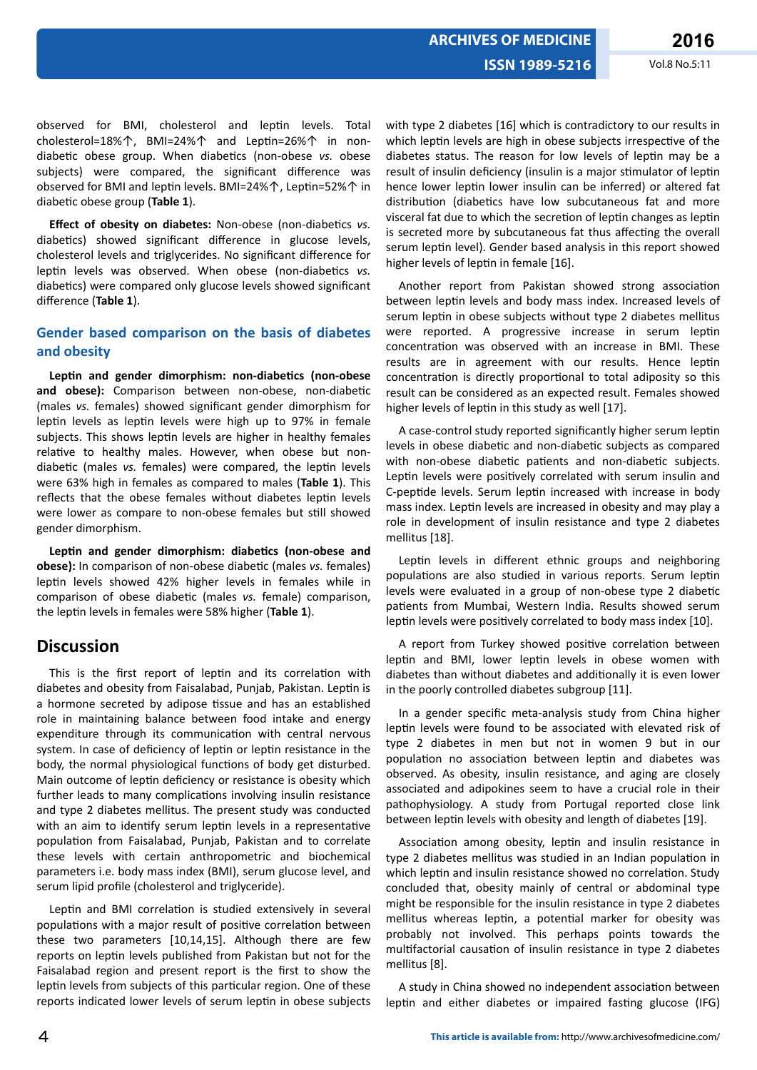observed for BMI, cholesterol and leptin levels. Total cholesterol=18%个, BMI=24%个 and Leptin=26%个 in nondiabetic obese group. When diabetics (non-obese *vs.* obese subjects) were compared, the significant difference was observed for BMI and leptin levels. BMI=24%↑, Leptin=52%↑ in diabetic obese group (Table 1).

*Effect of obesity on diabetes: Non-obese (non-diabetics vs.* diabetics) showed significant difference in glucose levels, cholesterol levels and triglycerides. No significant difference for leptin levels was observed. When obese (non-diabetics vs. diabetics) were compared only glucose levels showed significant difference (Table 1).

### **Gender based comparison on the basis of diabetes and obesity**

Leptin and gender dimorphism: non-diabetics (non-obese and obese): Comparison between non-obese, non-diabetic (males vs. females) showed significant gender dimorphism for leptin levels as leptin levels were high up to 97% in female subjects. This shows leptin levels are higher in healthy females relative to healthy males. However, when obese but nondiabetic (males *vs.* females) were compared, the leptin levels were 63% high in females as compared to males (**Table 1**). This reflects that the obese females without diabetes leptin levels were lower as compare to non-obese females but still showed gender dimorphism.

Leptin and gender dimorphism: diabetics (non-obese and **obese):** In comparison of non-obese diabetic (males *vs.* females) leptin levels showed 42% higher levels in females while in comparison of obese diabetic (males *vs.* female) comparison, the leptin levels in females were 58% higher (Table 1).

### **Discussion**

This is the first report of leptin and its correlation with diabetes and obesity from Faisalabad, Punjab, Pakistan. Leptin is a hormone secreted by adipose tissue and has an established role in maintaining balance between food intake and energy expenditure through its communication with central nervous system. In case of deficiency of leptin or leptin resistance in the body, the normal physiological functions of body get disturbed. Main outcome of leptin deficiency or resistance is obesity which further leads to many complications involving insulin resistance and type 2 diabetes mellitus. The present study was conducted with an aim to identify serum leptin levels in a representative population from Faisalabad, Punjab, Pakistan and to correlate these levels with certain anthropometric and biochemical parameters i.e. body mass index (BMI), serum glucose level, and serum lipid profile (cholesterol and triglyceride).

Leptin and BMI correlation is studied extensively in several populations with a major result of positive correlation between these two parameters [10,14,15]. Although there are few reports on leptin levels published from Pakistan but not for the Faisalabad region and present report is the first to show the leptin levels from subjects of this particular region. One of these reports indicated lower levels of serum leptin in obese subjects with type 2 diabetes [16] which is contradictory to our results in which leptin levels are high in obese subjects irrespective of the diabetes status. The reason for low levels of leptin may be a result of insulin deficiency (insulin is a major stimulator of leptin hence lower leptin lower insulin can be inferred) or altered fat distribution (diabetics have low subcutaneous fat and more visceral fat due to which the secretion of leptin changes as leptin is secreted more by subcutaneous fat thus affecting the overall serum leptin level). Gender based analysis in this report showed higher levels of leptin in female [16].

Another report from Pakistan showed strong association between leptin levels and body mass index. Increased levels of serum leptin in obese subjects without type 2 diabetes mellitus were reported. A progressive increase in serum leptin concentration was observed with an increase in BMI. These results are in agreement with our results. Hence leptin concentration is directly proportional to total adiposity so this result can be considered as an expected result. Females showed higher levels of leptin in this study as well [17].

A case-control study reported significantly higher serum leptin levels in obese diabetic and non-diabetic subjects as compared with non-obese diabetic patients and non-diabetic subjects. Leptin levels were positively correlated with serum insulin and C-peptide levels. Serum leptin increased with increase in body mass index. Leptin levels are increased in obesity and may play a role in development of insulin resistance and type 2 diabetes mellitus [18].

Leptin levels in different ethnic groups and neighboring populations are also studied in various reports. Serum leptin levels were evaluated in a group of non-obese type 2 diabetic patients from Mumbai, Western India. Results showed serum leptin levels were positively correlated to body mass index [10].

A report from Turkey showed positive correlation between leptin and BMI, lower leptin levels in obese women with diabetes than without diabetes and additionally it is even lower in the poorly controlled diabetes subgroup [11].

In a gender specific meta-analysis study from China higher leptin levels were found to be associated with elevated risk of type 2 diabetes in men but not in women 9 but in our population no association between leptin and diabetes was observed. As obesity, insulin resistance, and aging are closely associated and adipokines seem to have a crucial role in their pathophysiology. A study from Portugal reported close link between leptin levels with obesity and length of diabetes [19].

Association among obesity, leptin and insulin resistance in type 2 diabetes mellitus was studied in an Indian population in which leptin and insulin resistance showed no correlation. Study concluded that, obesity mainly of central or abdominal type might be responsible for the insulin resistance in type 2 diabetes mellitus whereas leptin, a potential marker for obesity was probably not involved. This perhaps points towards the multifactorial causation of insulin resistance in type 2 diabetes mellitus [8].

A study in China showed no independent association between leptin and either diabetes or impaired fasting glucose (IFG)